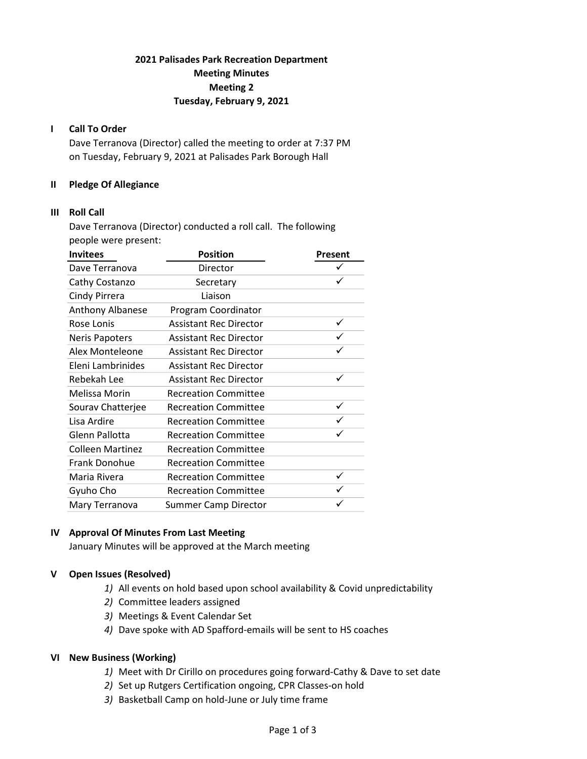## 2021 Palisades Park Recreation Department Meeting Minutes Meeting 2 Tuesday, February 9, 2021

### I Call To Order

Dave Terranova (Director) called the meeting to order at 7:37 PM on Tuesday, February 9, 2021 at Palisades Park Borough Hall

### II Pledge Of Allegiance

### III Roll Call

Dave Terranova (Director) conducted a roll call. The following people were present:

| <b>Invitees</b>         | <b>Position</b>               | Present |
|-------------------------|-------------------------------|---------|
| Dave Terranova          | Director                      |         |
| Cathy Costanzo          | Secretary                     | ✓       |
| Cindy Pirrera           | Liaison                       |         |
| Anthony Albanese        | Program Coordinator           |         |
| Rose Lonis              | <b>Assistant Rec Director</b> | ✓       |
| <b>Neris Papoters</b>   | <b>Assistant Rec Director</b> |         |
| Alex Monteleone         | <b>Assistant Rec Director</b> |         |
| Eleni Lambrinides       | <b>Assistant Rec Director</b> |         |
| Rebekah Lee             | <b>Assistant Rec Director</b> |         |
| Melissa Morin           | <b>Recreation Committee</b>   |         |
| Sourav Chatterjee       | <b>Recreation Committee</b>   | ✓       |
| Lisa Ardire             | <b>Recreation Committee</b>   |         |
| Glenn Pallotta          | <b>Recreation Committee</b>   |         |
| <b>Colleen Martinez</b> | <b>Recreation Committee</b>   |         |
| Frank Donohue           | <b>Recreation Committee</b>   |         |
| Maria Rivera            | <b>Recreation Committee</b>   | ✓       |
| Gyuho Cho               | <b>Recreation Committee</b>   |         |
| Mary Terranova          | <b>Summer Camp Director</b>   |         |

## IV Approval Of Minutes From Last Meeting

January Minutes will be approved at the March meeting

### V Open Issues (Resolved)

- 1) All events on hold based upon school availability & Covid unpredictability
- 2) Committee leaders assigned
- 3) Meetings & Event Calendar Set
- 4) Dave spoke with AD Spafford-emails will be sent to HS coaches

### VI New Business (Working)

- 1) Meet with Dr Cirillo on procedures going forward-Cathy & Dave to set date
- 2) Set up Rutgers Certification ongoing, CPR Classes-on hold
- 3) Basketball Camp on hold-June or July time frame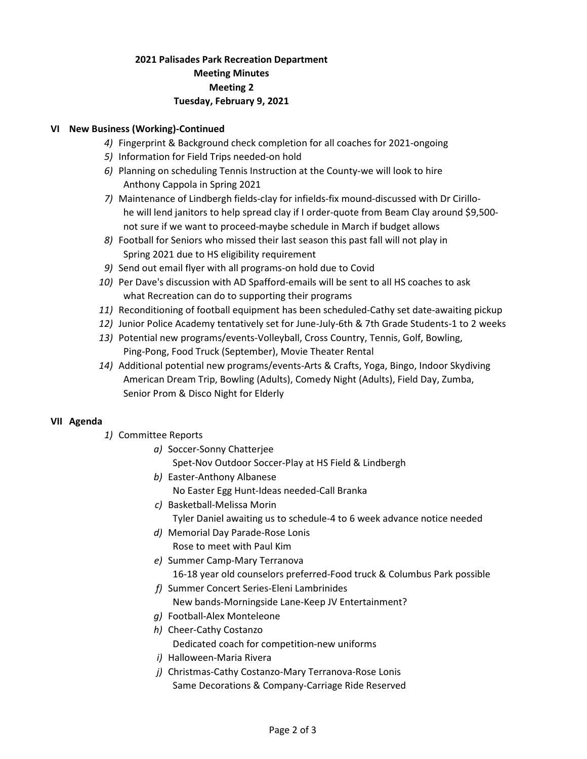## 2021 Palisades Park Recreation Department Meeting Minutes Meeting 2 Tuesday, February 9, 2021

## VI New Business (Working)-Continued

- 4) Fingerprint & Background check completion for all coaches for 2021-ongoing
- 5) Information for Field Trips needed-on hold
- 6) Planning on scheduling Tennis Instruction at the County-we will look to hire Anthony Cappola in Spring 2021
- 7) Maintenance of Lindbergh fields-clay for infields-fix mound-discussed with Dr Cirillo he will lend janitors to help spread clay if I order-quote from Beam Clay around \$9,500 not sure if we want to proceed-maybe schedule in March if budget allows
- 8) Football for Seniors who missed their last season this past fall will not play in Spring 2021 due to HS eligibility requirement
- 9) Send out email flyer with all programs-on hold due to Covid
- 10) Per Dave's discussion with AD Spafford-emails will be sent to all HS coaches to ask what Recreation can do to supporting their programs
- 11) Reconditioning of football equipment has been scheduled-Cathy set date-awaiting pickup
- 12) Junior Police Academy tentatively set for June-July-6th & 7th Grade Students-1 to 2 weeks
- 13) Potential new programs/events-Volleyball, Cross Country, Tennis, Golf, Bowling, Ping-Pong, Food Truck (September), Movie Theater Rental
- 14) Additional potential new programs/events-Arts & Crafts, Yoga, Bingo, Indoor Skydiving American Dream Trip, Bowling (Adults), Comedy Night (Adults), Field Day, Zumba, Senior Prom & Disco Night for Elderly

### VII Agenda

- 1) Committee Reports
	- a) Soccer-Sonny Chatterjee

Spet-Nov Outdoor Soccer-Play at HS Field & Lindbergh

b) Easter-Anthony Albanese

No Easter Egg Hunt-Ideas needed-Call Branka

- c) Basketball-Melissa Morin
	- Tyler Daniel awaiting us to schedule-4 to 6 week advance notice needed
- d) Memorial Day Parade-Rose Lonis Rose to meet with Paul Kim
- e) Summer Camp-Mary Terranova

16-18 year old counselors preferred-Food truck & Columbus Park possible

- f) Summer Concert Series-Eleni Lambrinides New bands-Morningside Lane-Keep JV Entertainment?
- g) Football-Alex Monteleone
- h) Cheer-Cathy Costanzo Dedicated coach for competition-new uniforms
- i) Halloween-Maria Rivera
- j) Christmas-Cathy Costanzo-Mary Terranova-Rose Lonis Same Decorations & Company-Carriage Ride Reserved